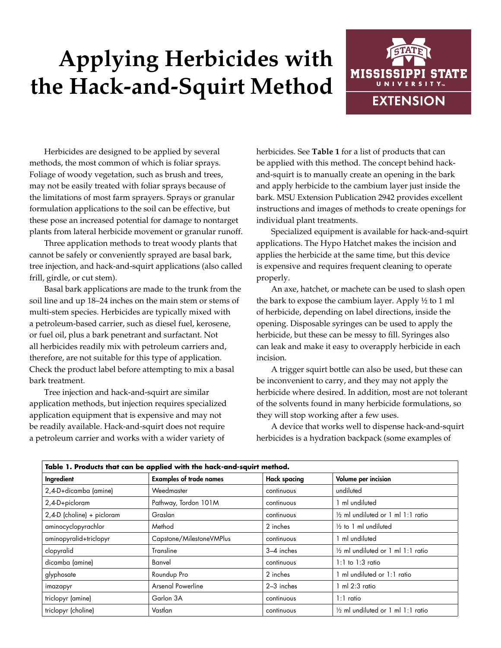## **Applying Herbicides with the Hack-and-Squirt Method**



Herbicides are designed to be applied by several methods, the most common of which is foliar sprays. Foliage of woody vegetation, such as brush and trees, may not be easily treated with foliar sprays because of the limitations of most farm sprayers. Sprays or granular formulation applications to the soil can be effective, but these pose an increased potential for damage to nontarget plants from lateral herbicide movement or granular runoff.

Three application methods to treat woody plants that cannot be safely or conveniently sprayed are basal bark, tree injection, and hack-and-squirt applications (also called frill, girdle, or cut stem).

Basal bark applications are made to the trunk from the soil line and up 18–24 inches on the main stem or stems of multi-stem species. Herbicides are typically mixed with a petroleum-based carrier, such as diesel fuel, kerosene, or fuel oil, plus a bark penetrant and surfactant. Not all herbicides readily mix with petroleum carriers and, therefore, are not suitable for this type of application. Check the product label before attempting to mix a basal bark treatment.

Tree injection and hack-and-squirt are similar application methods, but injection requires specialized application equipment that is expensive and may not be readily available. Hack-and-squirt does not require a petroleum carrier and works with a wider variety of

herbicides. See **Table 1** for a list of products that can be applied with this method. The concept behind hackand-squirt is to manually create an opening in the bark and apply herbicide to the cambium layer just inside the bark. MSU Extension Publication 2942 provides excellent instructions and images of methods to create openings for individual plant treatments.

Specialized equipment is available for hack-and-squirt applications. The Hypo Hatchet makes the incision and applies the herbicide at the same time, but this device is expensive and requires frequent cleaning to operate properly.

An axe, hatchet, or machete can be used to slash open the bark to expose the cambium layer. Apply ½ to 1 ml of herbicide, depending on label directions, inside the opening. Disposable syringes can be used to apply the herbicide, but these can be messy to fill. Syringes also can leak and make it easy to overapply herbicide in each incision.

A trigger squirt bottle can also be used, but these can be inconvenient to carry, and they may not apply the herbicide where desired. In addition, most are not tolerant of the solvents found in many herbicide formulations, so they will stop working after a few uses.

A device that works well to dispense hack-and-squirt herbicides is a hydration backpack (some examples of

| Table 1. Products that can be applied with the hack-and-squirt method. |                                |                     |                                              |
|------------------------------------------------------------------------|--------------------------------|---------------------|----------------------------------------------|
| Ingredient                                                             | <b>Examples of trade names</b> | <b>Hack spacing</b> | Volume per incision                          |
| 2,4-D+dicamba (amine)                                                  | Weedmaster                     | continuous          | undiluted                                    |
| 2,4-D+picloram                                                         | Pathway, Tordon 101M           | continuous          | 1 ml undiluted                               |
| 2,4-D (choline) + picloram                                             | Graslan                        | continuous          | 1/2 ml undiluted or 1 ml 1:1 ratio           |
| aminocyclopyrachlor                                                    | Method                         | 2 inches            | $\frac{1}{2}$ to 1 ml undiluted              |
| aminopyralid+triclopyr                                                 | Capstone/MilestoneVMPlus       | continuous          | ml undiluted                                 |
| clopyralid                                                             | Transline                      | 3-4 inches          | $\frac{1}{2}$ ml undiluted or 1 ml 1:1 ratio |
| dicamba (amine)                                                        | Banvel                         | continuous          | $1:1$ to $1:3$ ratio                         |
| glyphosate                                                             | Roundup Pro                    | 2 inches            | ml undiluted or 1:1 ratio                    |
| imazapyr                                                               | <b>Arsenal Powerline</b>       | 2-3 inches          | $1 \text{ ml} 2:3 \text{ ratio}$             |
| triclopyr (amine)                                                      | Garlon 3A                      | continuous          | $1:1$ ratio                                  |
| triclopyr (choline)                                                    | Vastlan                        | continuous          | 1/2 ml undiluted or 1 ml 1:1 ratio           |